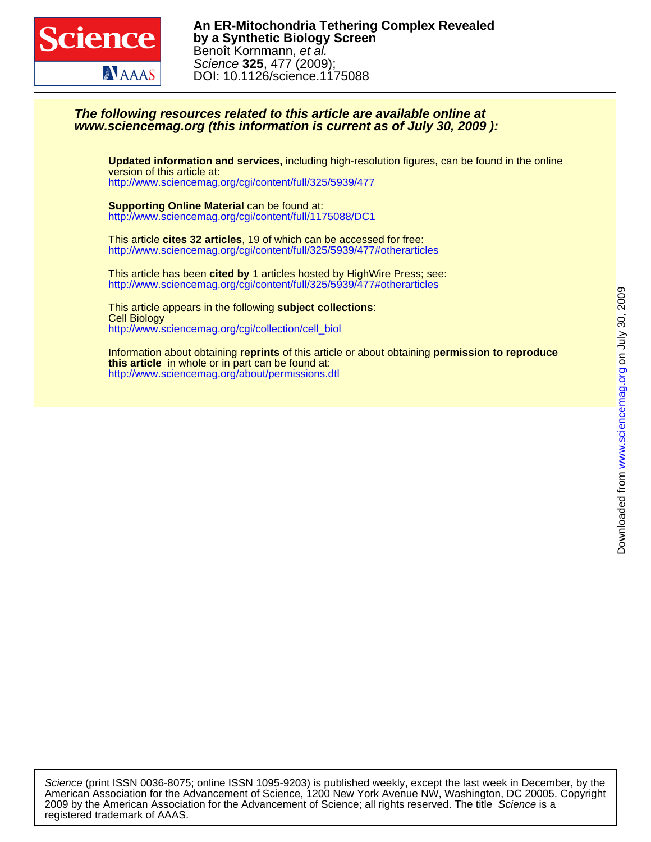

## **www.sciencemag.org (this information is current as of July 30, 2009 ): The following resources related to this article are available online at**

<http://www.sciencemag.org/cgi/content/full/325/5939/477> version of this article at: **Updated information and services,** including high-resolution figures, can be found in the online

<http://www.sciencemag.org/cgi/content/full/1175088/DC1> **Supporting Online Material** can be found at:

<http://www.sciencemag.org/cgi/content/full/325/5939/477#otherarticles> This article **cites 32 articles**, 19 of which can be accessed for free:

<http://www.sciencemag.org/cgi/content/full/325/5939/477#otherarticles> This article has been **cited by** 1 articles hosted by HighWire Press; see:

[http://www.sciencemag.org/cgi/collection/cell\\_biol](http://www.sciencemag.org/cgi/collection/cell_biol) Cell Biology This article appears in the following **subject collections**:

<http://www.sciencemag.org/about/permissions.dtl> **this article** in whole or in part can be found at: Information about obtaining **reprints** of this article or about obtaining **permission to reproduce**

registered trademark of AAAS. 2009 by the American Association for the Advancement of Science; all rights reserved. The title Science is a American Association for the Advancement of Science, 1200 New York Avenue NW, Washington, DC 20005. Copyright Science (print ISSN 0036-8075; online ISSN 1095-9203) is published weekly, except the last week in December, by the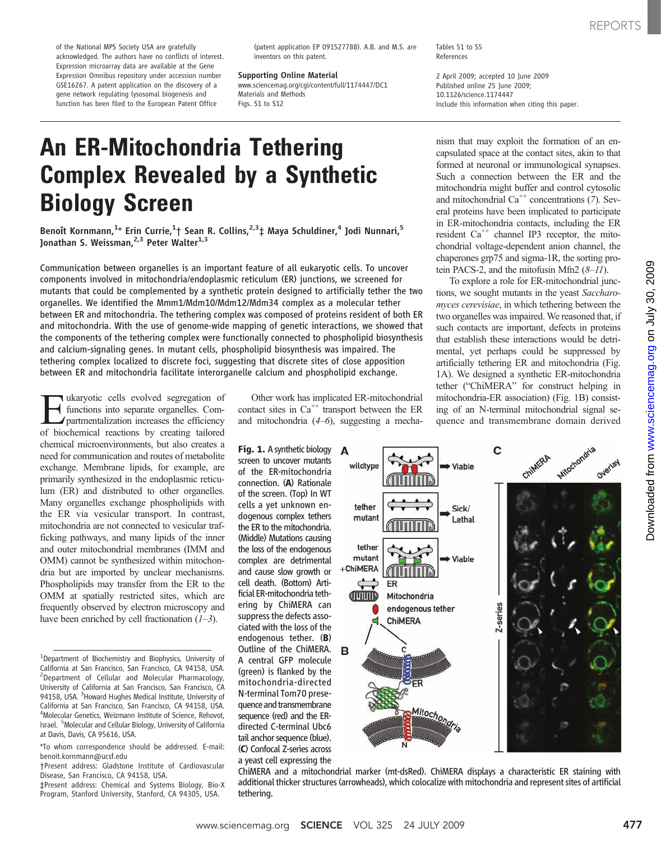of the National MPS Society USA are gratefully acknowledged. The authors have no conflicts of interest. Expression microarray data are available at the Gene Expression Omnibus repository under accession number GSE16267. A patent application on the discovery of a gene network regulating lysosomal biogenesis and function has been filed to the European Patent Office

(patent application EP 091527788). A.B. and M.S. are inventors on this patent.

Supporting Online Material

www.sciencemag.org/cgi/content/full/1174447/DC1 Materials and Methods Figs. S1 to S12

Tables S1 to S5 References

2 April 2009; accepted 10 June 2009 Published online 25 June 2009; 10.1126/science.1174447 Include this information when citing this paper.

# An ER-Mitochondria Tethering Complex Revealed by a Synthetic Biology Screen

Benoît Kornmann,<sup>1</sup>\* Erin Currie,<sup>1</sup>† Sean R. Collins,<sup>2,3</sup>‡ Maya Schuldiner,<sup>4</sup> Jodi Nunnari,<sup>5</sup> Jonathan S. Weissman,<sup>2,3</sup> Peter Walter<sup>1,3</sup>

Communication between organelles is an important feature of all eukaryotic cells. To uncover components involved in mitochondria/endoplasmic reticulum (ER) junctions, we screened for mutants that could be complemented by a synthetic protein designed to artificially tether the two organelles. We identified the Mmm1/Mdm10/Mdm12/Mdm34 complex as a molecular tether between ER and mitochondria. The tethering complex was composed of proteins resident of both ER and mitochondria. With the use of genome-wide mapping of genetic interactions, we showed that the components of the tethering complex were functionally connected to phospholipid biosynthesis and calcium-signaling genes. In mutant cells, phospholipid biosynthesis was impaired. The tethering complex localized to discrete foci, suggesting that discrete sites of close apposition between ER and mitochondria facilitate interorganelle calcium and phospholipid exchange.

Eukaryotic cells evolved segregation of<br>
partmentalization increases the efficiency<br>
of biochemical reactions by creating tailored functions into separate organelles. Comof biochemical reactions by creating tailored chemical microenvironments, but also creates a need for communication and routes of metabolite exchange. Membrane lipids, for example, are primarily synthesized in the endoplasmic reticulum (ER) and distributed to other organelles. Many organelles exchange phospholipids with the ER via vesicular transport. In contrast, mitochondria are not connected to vesicular trafficking pathways, and many lipids of the inner and outer mitochondrial membranes (IMM and OMM) cannot be synthesized within mitochondria but are imported by unclear mechanisms. Phospholipids may transfer from the ER to the OMM at spatially restricted sites, which are frequently observed by electron microscopy and have been enriched by cell fractionation  $(1-3)$ .

Other work has implicated ER-mitochondrial contact sites in  $Ca^{++}$  transport between the ER and mitochondria  $(4-6)$ , suggesting a mecha-

Fig. 1. A synthetic biology screen to uncover mutants of the ER-mitochondria connection. (A) Rationale of the screen. (Top) In WT cells a yet unknown endogenous complex tethers the ER to the mitochondria. (Middle) Mutations causing the loss of the endogenous complex are detrimental and cause slow growth or cell death. (Bottom) Artificial ER-mitochondria tethering by ChiMERA can suppress the defects associated with the loss of the endogenous tether. (B) Outline of the ChiMERA. A central GFP molecule (green) is flanked by the mitochondria-directed N-terminal Tom70 presequence and transmembrane sequence (red) and the ERdirected C-terminal Ubc6 tail anchor sequence (blue). (C) Confocal Z-series across a yeast cell expressing the

nism that may exploit the formation of an encapsulated space at the contact sites, akin to that formed at neuronal or immunological synapses. Such a connection between the ER and the mitochondria might buffer and control cytosolic and mitochondrial  $Ca<sup>++</sup>$  concentrations (7). Several proteins have been implicated to participate in ER-mitochondria contacts, including the ER resident  $Ca^{++}$  channel IP3 receptor, the mitochondrial voltage-dependent anion channel, the chaperones grp75 and sigma-1R, the sorting protein PACS-2, and the mitofusin Mfn2  $(8-11)$ .

To explore a role for ER-mitochondrial junctions, we sought mutants in the yeast Saccharomyces cerevisiae, in which tethering between the two organelles was impaired. We reasoned that, if such contacts are important, defects in proteins that establish these interactions would be detrimental, yet perhaps could be suppressed by artificially tethering ER and mitochondria (Fig. 1A). We designed a synthetic ER-mitochondria tether ("ChiMERA" for construct helping in mitochondria-ER association) (Fig. 1B) consisting of an N-terminal mitochondrial signal sequence and transmembrane domain derived



ChiMERA and a mitochondrial marker (mt-dsRed). ChiMERA displays a characteristic ER staining with additional thicker structures (arrowheads), which colocalize with mitochondria and represent sites of artificial tethering.

<sup>&</sup>lt;sup>1</sup>Department of Biochemistry and Biophysics, University of California at San Francisco, San Francisco, CA 94158, USA. <sup>2</sup>Department of Cellular and Molecular Pharmacology, University of California at San Francisco, San Francisco, CA 94158, USA. <sup>3</sup> Howard Hughes Medical Institute, University of California at San Francisco, San Francisco, CA 94158, USA. 4 Molecular Genetics, Weizmann Institute of Science, Rehovot, Israel. <sup>5</sup> Molecular and Cellular Biology, University of California at Davis, Davis, CA 95616, USA.

<sup>\*</sup>To whom correspondence should be addressed. E-mail: benoit.kornmann@ucsf.edu

<sup>†</sup>Present address: Gladstone Institute of Cardiovascular Disease, San Francisco, CA 94158, USA.

<sup>‡</sup>Present address: Chemical and Systems Biology, Bio-X Program, Stanford University, Stanford, CA 94305, USA.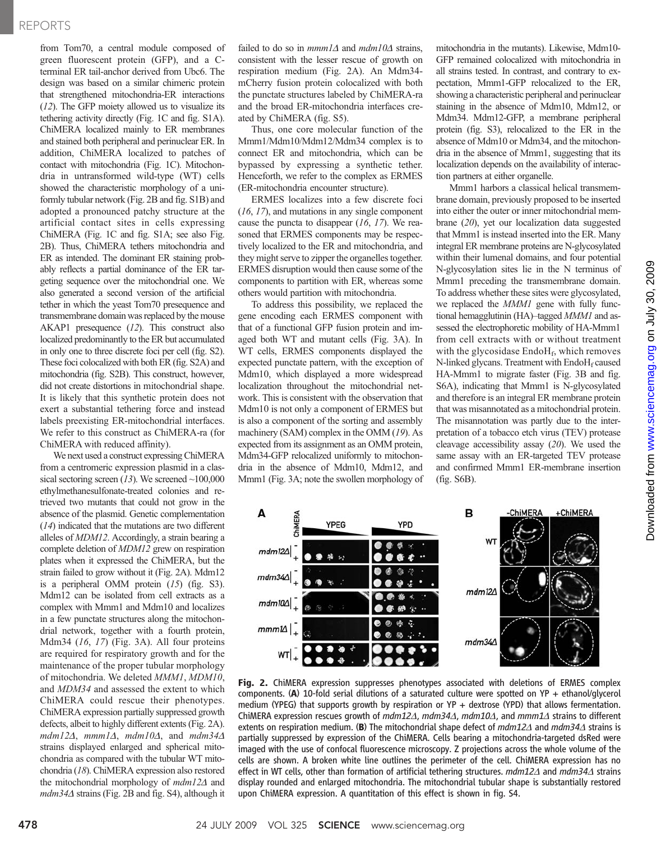### REPORTS

from Tom70, a central module composed of green fluorescent protein (GFP), and a Cterminal ER tail-anchor derived from Ubc6. The design was based on a similar chimeric protein that strengthened mitochondria-ER interactions (12). The GFP moiety allowed us to visualize its tethering activity directly (Fig. 1C and fig. S1A). ChiMERA localized mainly to ER membranes and stained both peripheral and perinuclear ER. In addition, ChiMERA localized to patches of contact with mitochondria (Fig. 1C). Mitochondria in untransformed wild-type (WT) cells showed the characteristic morphology of a uniformly tubular network (Fig. 2B and fig. S1B) and adopted a pronounced patchy structure at the artificial contact sites in cells expressing ChiMERA (Fig. 1C and fig. S1A; see also Fig. 2B). Thus, ChiMERA tethers mitochondria and ER as intended. The dominant ER staining probably reflects a partial dominance of the ER targeting sequence over the mitochondrial one. We also generated a second version of the artificial tether in which the yeast Tom70 presequence and transmembrane domain was replaced by the mouse AKAP1 presequence (12). This construct also localized predominantly to the ER but accumulated in only one to three discrete foci per cell (fig. S2). These foci colocalized with both ER (fig. S2A) and mitochondria (fig. S2B). This construct, however, did not create distortions in mitochondrial shape. It is likely that this synthetic protein does not exert a substantial tethering force and instead labels preexisting ER-mitochondrial interfaces. We refer to this construct as ChiMERA-ra (for ChiMERA with reduced affinity).

We next used a construct expressing ChiMERA from a centromeric expression plasmid in a classical sectoring screen  $(13)$ . We screened ~100,000 ethylmethanesulfonate-treated colonies and retrieved two mutants that could not grow in the absence of the plasmid. Genetic complementation (14) indicated that the mutations are two different alleles of MDM12. Accordingly, a strain bearing a complete deletion of MDM12 grew on respiration plates when it expressed the ChiMERA, but the strain failed to grow without it (Fig. 2A). Mdm12 is a peripheral OMM protein  $(15)$  (fig. S3). Mdm12 can be isolated from cell extracts as a complex with Mmm1 and Mdm10 and localizes in a few punctate structures along the mitochondrial network, together with a fourth protein, Mdm34 (16, 17) (Fig. 3A). All four proteins are required for respiratory growth and for the maintenance of the proper tubular morphology of mitochondria. We deleted MMM1, MDM10, and MDM34 and assessed the extent to which ChiMERA could rescue their phenotypes. ChiMERA expression partially suppressed growth defects, albeit to highly different extents (Fig. 2A). mdm12 $\Delta$ , mmm1 $\Delta$ , mdm10 $\Delta$ , and mdm34 $\Delta$ strains displayed enlarged and spherical mitochondria as compared with the tubular WT mitochondria (18). ChiMERA expression also restored the mitochondrial morphology of  $mdm12\Delta$  and  $mdm34\Delta$  strains (Fig. 2B and fig. S4), although it

failed to do so in  $mmn1\Delta$  and  $mdm10\Delta$  strains, consistent with the lesser rescue of growth on respiration medium (Fig. 2A). An Mdm34 mCherry fusion protein colocalized with both the punctate structures labeled by ChiMERA-ra and the broad ER-mitochondria interfaces created by ChiMERA (fig. S5).

Thus, one core molecular function of the Mmm1/Mdm10/Mdm12/Mdm34 complex is to connect ER and mitochondria, which can be bypassed by expressing a synthetic tether. Henceforth, we refer to the complex as ERMES (ER-mitochondria encounter structure).

ERMES localizes into a few discrete foci (16, 17), and mutations in any single component cause the puncta to disappear  $(16, 17)$ . We reasoned that ERMES components may be respectively localized to the ER and mitochondria, and they might serve to zipper the organelles together. ERMES disruption would then cause some of the components to partition with ER, whereas some others would partition with mitochondria.

To address this possibility, we replaced the gene encoding each ERMES component with that of a functional GFP fusion protein and imaged both WT and mutant cells (Fig. 3A). In WT cells, ERMES components displayed the expected punctate pattern, with the exception of Mdm10, which displayed a more widespread localization throughout the mitochondrial network. This is consistent with the observation that Mdm10 is not only a component of ERMES but is also a component of the sorting and assembly machinery (SAM) complex in the OMM (19). As expected from its assignment as an OMM protein, Mdm34-GFP relocalized uniformly to mitochondria in the absence of Mdm10, Mdm12, and Mmm1 (Fig. 3A; note the swollen morphology of mitochondria in the mutants). Likewise, Mdm10- GFP remained colocalized with mitochondria in all strains tested. In contrast, and contrary to expectation, Mmm1-GFP relocalized to the ER, showing a characteristic peripheral and perinuclear staining in the absence of Mdm10, Mdm12, or Mdm34. Mdm12-GFP, a membrane peripheral protein (fig. S3), relocalized to the ER in the absence of Mdm10 or Mdm34, and the mitochondria in the absence of Mmm1, suggesting that its localization depends on the availability of interaction partners at either organelle.

Mmm1 harbors a classical helical transmembrane domain, previously proposed to be inserted into either the outer or inner mitochondrial membrane (20), yet our localization data suggested that Mmm1 is instead inserted into the ER. Many integral ER membrane proteins are N-glycosylated within their lumenal domains, and four potential N-glycosylation sites lie in the N terminus of Mmm1 preceding the transmembrane domain. To address whether these sites were glycosylated, we replaced the *MMM1* gene with fully functional hemagglutinin (HA)–tagged MMM1 and assessed the electrophoretic mobility of HA-Mmm1 from cell extracts with or without treatment with the glycosidase  $End<sub>f</sub>$ , which removes N-linked glycans. Treatment with  $End<sub>f</sub>$  caused HA-Mmm1 to migrate faster (Fig. 3B and fig. S6A), indicating that Mmm1 is N-glycosylated and therefore is an integral ER membrane protein that was misannotated as a mitochondrial protein. The misannotation was partly due to the interpretation of a tobacco etch virus (TEV) protease cleavage accessibility assay (20). We used the same assay with an ER-targeted TEV protease and confirmed Mmm1 ER-membrane insertion (fig. S6B).



**Fig. 2.** ChiMERA expression suppresses phenotypes associated with deletions of ERMES complex complex<br>components. (A) 10-fold serial dilutions of a saturated culture were spotted on YP + ethanol/glycerol components. (A) 10-fold serial dilutions of a saturated culture were spotted on YP + ethanol/glycerol medium (YPEG) that supports growth by respiration or YP + dextrose (YPD) that allows fermentation. ChiMERA expression rescues growth of  $mdm12\Delta$ ,  $mdm34\Delta$ ,  $mdm10\Delta$ , and  $mmn1\Delta$  strains to different extents on respiration medium. (B) The mitochondrial shape defect of  $mdm12\Delta$  and  $mdm34\Delta$  strains is partially suppressed by expression of the ChiMERA. Cells bearing a mitochondria-targeted dsRed were imaged with the use of confocal fluorescence microscopy. Z projections across the whole volume of the cells are shown. A broken white line outlines the perimeter of the cell. ChiMERA expression has no effect in WT cells, other than formation of artificial tethering structures.  $mdm12\Delta$  and  $mdm34\Delta$  strains display rounded and enlarged mitochondria. The mitochondrial tubular shape is substantially restored upon ChiMERA expression. A quantitation of this effect is shown in fig. S4.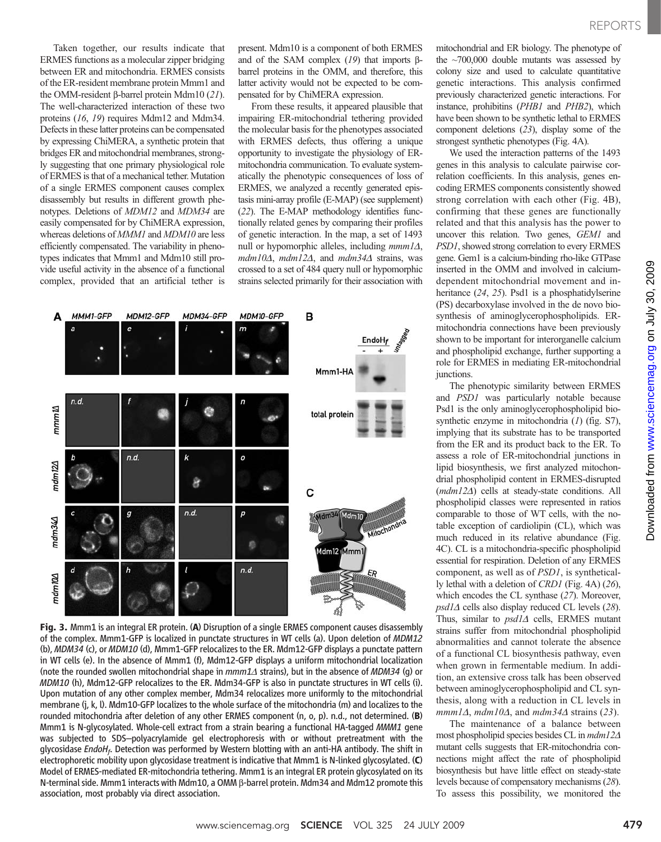Taken together, our results indicate that ERMES functions as a molecular zipper bridging between ER and mitochondria. ERMES consists of the ER-resident membrane protein Mmm1 and the OMM-resident  $\beta$ -barrel protein Mdm10 (21). The well-characterized interaction of these two proteins (16, 19) requires Mdm12 and Mdm34. Defects in these latter proteins can be compensated by expressing ChiMERA, a synthetic protein that bridges ER and mitochondrial membranes, strongly suggesting that one primary physiological role of ERMES is that of a mechanical tether. Mutation of a single ERMES component causes complex disassembly but results in different growth phenotypes. Deletions of MDM12 and MDM34 are easily compensated for by ChiMERA expression, whereas deletions of *MMM1* and *MDM10* are less efficiently compensated. The variability in phenotypes indicates that Mmm1 and Mdm10 still provide useful activity in the absence of a functional complex, provided that an artificial tether is

present. Mdm10 is a component of both ERMES and of the SAM complex  $(19)$  that imports  $\beta$ barrel proteins in the OMM, and therefore, this latter activity would not be expected to be compensated for by ChiMERA expression.

From these results, it appeared plausible that impairing ER-mitochondrial tethering provided the molecular basis for the phenotypes associated with ERMES defects, thus offering a unique opportunity to investigate the physiology of ERmitochondria communication. To evaluate systematically the phenotypic consequences of loss of ERMES, we analyzed a recently generated epistasis mini-array profile (E-MAP) (see supplement) (22). The E-MAP methodology identifies functionally related genes by comparing their profiles of genetic interaction. In the map, a set of 1493 null or hypomorphic alleles, including  $mmm1\Delta$ ,  $mdm10\Delta$ ,  $mdm12\Delta$ , and  $mdm34\Delta$  strains, was crossed to a set of 484 query null or hypomorphic strains selected primarily for their association with



Fig. 3. Mmm1 is an integral ER protein. (A) Disruption of a single ERMES component causes disassembly of the complex. Mmm1-GFP is localized in punctate structures in WT cells (a). Upon deletion of MDM12 (b), MDM34 (c), or MDM10 (d), Mmm1-GFP relocalizes to the ER. Mdm12-GFP displays a punctate pattern in WT cells (e). In the absence of Mmm1 (f), Mdm12-GFP displays a uniform mitochondrial localization (note the rounded swollen mitochondrial shape in  $mmm1\Delta$  strains), but in the absence of MDM34 (g) or MDM10 (h), Mdm12-GFP relocalizes to the ER. Mdm34-GFP is also in punctate structures in WT cells (i). Upon mutation of any other complex member, Mdm34 relocalizes more uniformly to the mitochondrial membrane (j, k, l). Mdm10-GFP localizes to the whole surface of the mitochondria (m) and localizes to the rounded mitochondria after deletion of any other ERMES component (n, o, p). n.d., not determined. (B) Mmm1 is N-glycosylated. Whole-cell extract from a strain bearing a functional HA-tagged MMM1 gene was subjected to SDS–polyacrylamide gel electrophoresis with or without pretreatment with the glycosidase EndoH<sub>f</sub>. Detection was performed by Western blotting with an anti-HA antibody. The shift in electrophoretic mobility upon glycosidase treatment is indicative that Mmm1 is N-linked glycosylated. (C) Model of ERMES-mediated ER-mitochondria tethering. Mmm1 is an integral ER protein glycosylated on its N-terminal side. Mmm1 interacts with Mdm10, a OMM  $\beta$ -barrel protein. Mdm34 and Mdm12 promote this association, most probably via direct association.

mitochondrial and ER biology. The phenotype of the  $\sim$ 700,000 double mutants was assessed by colony size and used to calculate quantitative genetic interactions. This analysis confirmed previously characterized genetic interactions. For instance, prohibitins (PHB1 and PHB2), which have been shown to be synthetic lethal to ERMES component deletions (23), display some of the strongest synthetic phenotypes (Fig. 4A).

We used the interaction patterns of the 1493 genes in this analysis to calculate pairwise correlation coefficients. In this analysis, genes encoding ERMES components consistently showed strong correlation with each other (Fig. 4B), confirming that these genes are functionally related and that this analysis has the power to uncover this relation. Two genes, GEM1 and PSD1, showed strong correlation to every ERMES gene. Gem1 is a calcium-binding rho-like GTPase inserted in the OMM and involved in calciumdependent mitochondrial movement and inheritance (24, 25). Psd1 is a phosphatidylserine (PS) decarboxylase involved in the de novo biosynthesis of aminoglycerophospholipids. ERmitochondria connections have been previously shown to be important for interorganelle calcium and phospholipid exchange, further supporting a role for ERMES in mediating ER-mitochondrial junctions.

The phenotypic similarity between ERMES and PSD1 was particularly notable because Psd1 is the only aminoglycerophospholipid biosynthetic enzyme in mitochondria (1) (fig. S7), implying that its substrate has to be transported from the ER and its product back to the ER. To assess a role of ER-mitochondrial junctions in lipid biosynthesis, we first analyzed mitochondrial phospholipid content in ERMES-disrupted  $(mdm12\Delta)$  cells at steady-state conditions. All phospholipid classes were represented in ratios comparable to those of WT cells, with the notable exception of cardiolipin (CL), which was much reduced in its relative abundance (Fig. 4C). CL is a mitochondria-specific phospholipid essential for respiration. Deletion of any ERMES component, as well as of PSD1, is synthetically lethal with a deletion of CRD1 (Fig. 4A) (26), which encodes the CL synthase (27). Moreover,  $psd1\Delta$  cells also display reduced CL levels (28). Thus, similar to  $psd1\Delta$  cells, ERMES mutant strains suffer from mitochondrial phospholipid abnormalities and cannot tolerate the absence of a functional CL biosynthesis pathway, even when grown in fermentable medium. In addition, an extensive cross talk has been observed between aminoglycerophospholipid and CL synthesis, along with a reduction in CL levels in  $mmn1\Delta$ , mdm10 $\Delta$ , and mdm34 $\Delta$  strains (23).

The maintenance of a balance between most phospholipid species besides CL in  $mdm12\Delta$ mutant cells suggests that ER-mitochondria connections might affect the rate of phospholipid biosynthesis but have little effect on steady-state levels because of compensatory mechanisms (28). To assess this possibility, we monitored the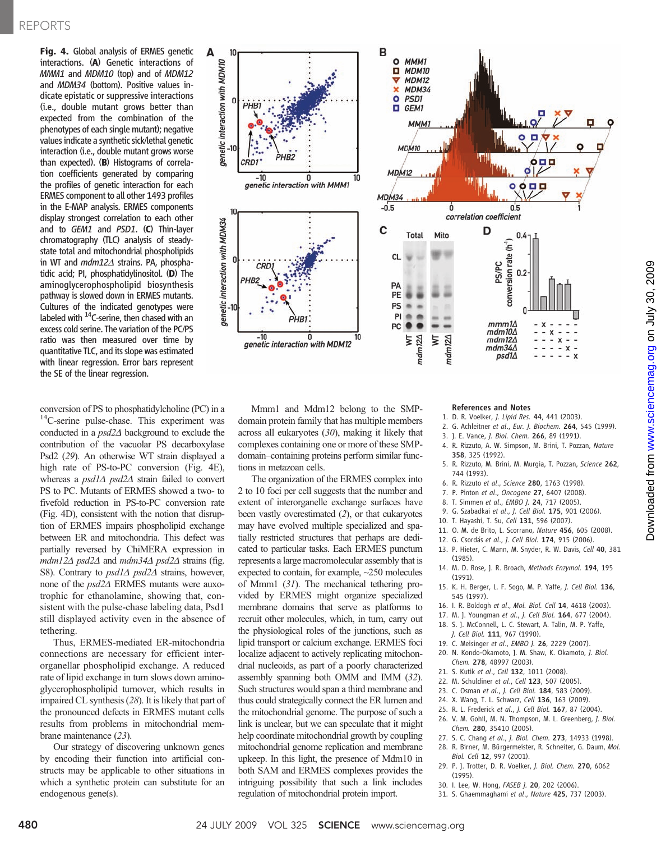Fig. 4. Global analysis of ERMES genetic interactions. (A) Genetic interactions of MMM1 and MDM10 (top) and of MDM12 and MDM34 (bottom). Positive values indicate epistatic or suppressive interactions (i.e., double mutant grows better than expected from the combination of the phenotypes of each single mutant); negative values indicate a synthetic sick/lethal genetic interaction (i.e., double mutant grows worse than expected). (B) Histograms of correlation coefficients generated by comparing the profiles of genetic interaction for each ERMES component to all other 1493 profiles in the E-MAP analysis. ERMES components display strongest correlation to each other and to GEM1 and PSD1. (C) Thin-layer chromatography (TLC) analysis of steadystate total and mitochondrial phospholipids in WT and  $mdm12\Delta$  strains. PA, phosphatidic acid; PI, phosphatidylinositol. (D) The aminoglycerophospholipid biosynthesis pathway is slowed down in ERMES mutants. Cultures of the indicated genotypes were labeled with <sup>14</sup>C-serine, then chased with an excess cold serine. The variation of the PC/PS ratio was then measured over time by quantitative TLC, and its slope was estimated with linear regression. Error bars represent the SE of the linear regression.

conversion of PS to phosphatidylcholine (PC) in a <sup>14</sup>C-serine pulse-chase. This experiment was conducted in a  $psd2\Delta$  background to exclude the contribution of the vacuolar PS decarboxylase Psd2 (29). An otherwise WT strain displayed a high rate of PS-to-PC conversion (Fig. 4E), whereas a  $psd1\Delta$   $psd2\Delta$  strain failed to convert PS to PC. Mutants of ERMES showed a two- to fivefold reduction in PS-to-PC conversion rate (Fig. 4D), consistent with the notion that disruption of ERMES impairs phospholipid exchange between ER and mitochondria. This defect was partially reversed by ChiMERA expression in  $mdm12\Delta$  psd2 $\Delta$  and  $mdm34\Delta$  psd2 $\Delta$  strains (fig. S8). Contrary to  $psd1\Delta$   $psd2\Delta$  strains, however, none of the  $psd2\Delta$  ERMES mutants were auxotrophic for ethanolamine, showing that, consistent with the pulse-chase labeling data, Psd1 still displayed activity even in the absence of tethering.

Thus, ERMES-mediated ER-mitochondria connections are necessary for efficient interorganellar phospholipid exchange. A reduced rate of lipid exchange in turn slows down aminoglycerophospholipid turnover, which results in impaired CL synthesis (28). It is likely that part of the pronounced defects in ERMES mutant cells results from problems in mitochondrial membrane maintenance (23).

Our strategy of discovering unknown genes by encoding their function into artificial constructs may be applicable to other situations in which a synthetic protein can substitute for an endogenous gene(s).



Mmm1 and Mdm12 belong to the SMPdomain protein family that has multiple members across all eukaryotes (30), making it likely that complexes containing one or more of these SMPdomain–containing proteins perform similar functions in metazoan cells.

The organization of the ERMES complex into 2 to 10 foci per cell suggests that the number and extent of interorganelle exchange surfaces have been vastly overestimated (2), or that eukaryotes may have evolved multiple specialized and spatially restricted structures that perhaps are dedicated to particular tasks. Each ERMES punctum represents a large macromolecular assembly that is expected to contain, for example, ~250 molecules of Mmm1 (31). The mechanical tethering provided by ERMES might organize specialized membrane domains that serve as platforms to recruit other molecules, which, in turn, carry out the physiological roles of the junctions, such as lipid transport or calcium exchange. ERMES foci localize adjacent to actively replicating mitochondrial nucleoids, as part of a poorly characterized assembly spanning both OMM and IMM (32). Such structures would span a third membrane and thus could strategically connect the ER lumen and the mitochondrial genome. The purpose of such a link is unclear, but we can speculate that it might help coordinate mitochondrial growth by coupling mitochondrial genome replication and membrane upkeep. In this light, the presence of Mdm10 in both SAM and ERMES complexes provides the intriguing possibility that such a link includes regulation of mitochondrial protein import.

#### References and Notes

- 1. D. R. Voelker, J. Lipid Res. 44, 441 (2003).
- 2. G. Achleitner et al., Eur. J. Biochem. 264, 545 (1999).
- 3. J. E. Vance, J. Biol. Chem. 266, 89 (1991).
- 4. R. Rizzuto, A. W. Simpson, M. Brini, T. Pozzan, Nature 358, 325 (1992).
- 5. R. Rizzuto, M. Brini, M. Murgia, T. Pozzan, Science 262, 744 (1993).
- 6. R. Rizzuto et al., Science 280, 1763 (1998).
- 7. P. Pinton et al., Oncogene 27, 6407 (2008).
- 8. T. Simmen et al., EMBO J. 24, 717 (2005).
- 9. G. Szabadkai et al., J. Cell Biol. 175, 901 (2006).
- 10. T. Hayashi, T. Su, Cell 131, 596 (2007).
- 11. O. M. de Brito, L. Scorrano, Nature 456, 605 (2008).
- 12. G. Csordás et al., J. Cell Biol. 174, 915 (2006).
- 13. P. Hieter, C. Mann, M. Snyder, R. W. Davis, Cell 40, 381 (1985).
- 14. M. D. Rose, J. R. Broach, Methods Enzymol. 194, 195 (1991).
- 15. K. H. Berger, L. F. Sogo, M. P. Yaffe, J. Cell Biol. 136, 545 (1997).
- 16. I. R. Boldogh et al., Mol. Biol. Cell 14, 4618 (2003).
- 17. M. J. Youngman et al., J. Cell Biol. 164, 677 (2004).
- 18. S. J. McConnell, L. C. Stewart, A. Talin, M. P. Yaffe,
- J. Cell Biol. 111, 967 (1990).
- 19. C. Meisinger et al., EMBO J. 26, 2229 (2007).
- 20. N. Kondo-Okamoto, J. M. Shaw, K. Okamoto, J. Biol. Chem. 278, 48997 (2003).
- 21. S. Kutik et al., Cell 132, 1011 (2008).
- 22. M. Schuldiner et al., Cell 123, 507 (2005).
- 23. C. Osman et al., J. Cell Biol. 184, 583 (2009).
- 24. X. Wang, T. L. Schwarz, Cell 136, 163 (2009).
- 25. R. L. Frederick et al., J. Cell Biol. 167, 87 (2004).
- 26. V. M. Gohil, M. N. Thompson, M. L. Greenberg, J. Biol. Chem. 280, 35410 (2005).
- 27. S. C. Chang et al., J. Biol. Chem. 273, 14933 (1998).
- 28. R. Birner, M. Bürgermeister, R. Schneiter, G. Daum, Mol.
- Biol. Cell 12, 997 (2001). 29. P. J. Trotter, D. R. Voelker, J. Biol. Chem. 270, 6062 (1995).
- 30. I. Lee, W. Hong, FASEB J. 20, 202 (2006).
- 31. S. Ghaemmaghami et al., Nature 425, 737 (2003).